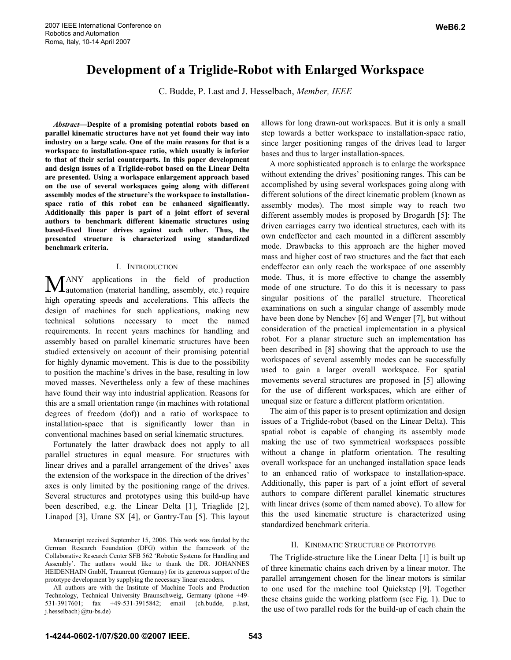C. Budde, P. Last and J. Hesselbach, *Member, IEEE*

*Abstract***—Despite of a promising potential robots based on parallel kinematic structures have not yet found their way into industry on a large scale. One of the main reasons for that is a workspace to installation-space ratio, which usually is inferior to that of their serial counterparts. In this paper development and design issues of a Triglide-robot based on the Linear Delta are presented. Using a workspace enlargement approach based on the use of several workspaces going along with different assembly modes of the structure's the workspace to installationspace ratio of this robot can be enhanced significantly. Additionally this paper is part of a joint effort of several authors to benchmark different kinematic structures using based-fixed linear drives against each other. Thus, the presented structure is characterized using standardized benchmark criteria.** 

### I. INTRODUCTION

ANY applications in the field of production MANY applications in the field of production (material handling, assembly, etc.) require high operating speeds and accelerations. This affects the design of machines for such applications, making new technical solutions necessary to meet the named requirements. In recent years machines for handling and assembly based on parallel kinematic structures have been studied extensively on account of their promising potential for highly dynamic movement. This is due to the possibility to position the machine's drives in the base, resulting in low moved masses. Nevertheless only a few of these machines have found their way into industrial application. Reasons for this are a small orientation range (in machines with rotational degrees of freedom (dof)) and a ratio of workspace to installation-space that is significantly lower than in conventional machines based on serial kinematic structures.

Fortunately the latter drawback does not apply to all parallel structures in equal measure. For structures with linear drives and a parallel arrangement of the drives' axes the extension of the workspace in the direction of the drives' axes is only limited by the positioning range of the drives. Several structures and prototypes using this build-up have been described, e.g. the Linear Delta [1], Triaglide [2], Linapod [3], Urane SX [4], or Gantry-Tau [5]. This layout

All authors are with the Institute of Machine Tools and Production Technology, Technical University Braunschweig, Germany (phone +49- 531-3917601; fax +49-531-3915842; email {ch.budde, p.last, j.hesselbach}@tu-bs.de)

allows for long drawn-out workspaces. But it is only a small step towards a better workspace to installation-space ratio, since larger positioning ranges of the drives lead to larger bases and thus to larger installation-spaces.

A more sophisticated approach is to enlarge the workspace without extending the drives' positioning ranges. This can be accomplished by using several workspaces going along with different solutions of the direct kinematic problem (known as assembly modes). The most simple way to reach two different assembly modes is proposed by Brogardh [5]: The driven carriages carry two identical structures, each with its own endeffector and each mounted in a different assembly mode. Drawbacks to this approach are the higher moved mass and higher cost of two structures and the fact that each endeffector can only reach the workspace of one assembly mode. Thus, it is more effective to change the assembly mode of one structure. To do this it is necessary to pass singular positions of the parallel structure. Theoretical examinations on such a singular change of assembly mode have been done by Nenchev [6] and Wenger [7], but without consideration of the practical implementation in a physical robot. For a planar structure such an implementation has been described in [8] showing that the approach to use the workspaces of several assembly modes can be successfully used to gain a larger overall workspace. For spatial movements several structures are proposed in [5] allowing for the use of different workspaces, which are either of unequal size or feature a different platform orientation.

The aim of this paper is to present optimization and design issues of a Triglide-robot (based on the Linear Delta). This spatial robot is capable of changing its assembly mode making the use of two symmetrical workspaces possible without a change in platform orientation. The resulting overall workspace for an unchanged installation space leads to an enhanced ratio of workspace to installation-space. Additionally, this paper is part of a joint effort of several authors to compare different parallel kinematic structures with linear drives (some of them named above). To allow for this the used kinematic structure is characterized using standardized benchmark criteria.

#### II. KINEMATIC STRUCTURE OF PROTOTYPE

The Triglide-structure like the Linear Delta [1] is built up of three kinematic chains each driven by a linear motor. The parallel arrangement chosen for the linear motors is similar to one used for the machine tool Quickstep [9]. Together these chains guide the working platform (see Fig. 1). Due to the use of two parallel rods for the build-up of each chain the

Manuscript received September 15, 2006. This work was funded by the German Research Foundation (DFG) within the framework of the Collaborative Research Center SFB 562 'Robotic Systems for Handling and Assembly'. The authors would like to thank the DR. JOHANNES HEIDENHAIN GmbH, Traunreut (Germany) for its generous support of the prototype development by supplying the necessary linear encoders.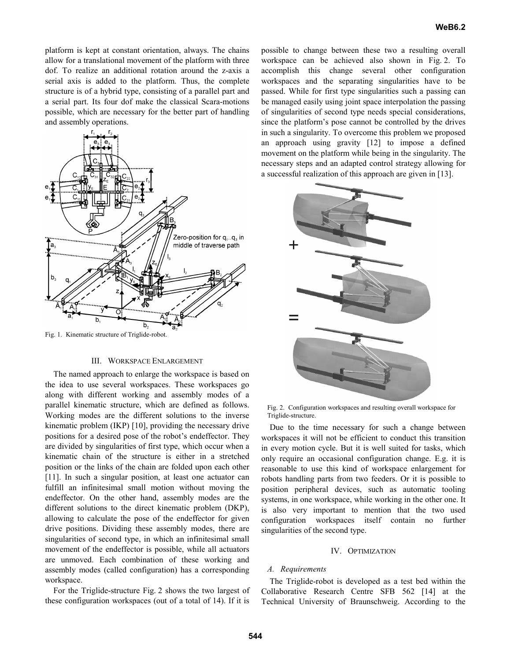platform is kept at constant orientation, always. The chains allow for a translational movement of the platform with three dof. To realize an additional rotation around the z-axis a serial axis is added to the platform. Thus, the complete structure is of a hybrid type, consisting of a parallel part and a serial part. Its four dof make the classical Scara-motions possible, which are necessary for the better part of handling and assembly operations.



Fig. 1. Kinematic structure of Triglide-robot.

### III. WORKSPACE ENLARGEMENT

The named approach to enlarge the workspace is based on the idea to use several workspaces. These workspaces go along with different working and assembly modes of a parallel kinematic structure, which are defined as follows. Working modes are the different solutions to the inverse kinematic problem (IKP) [10], providing the necessary drive positions for a desired pose of the robot's endeffector. They are divided by singularities of first type, which occur when a kinematic chain of the structure is either in a stretched position or the links of the chain are folded upon each other [11]. In such a singular position, at least one actuator can fulfill an infinitesimal small motion without moving the endeffector. On the other hand, assembly modes are the different solutions to the direct kinematic problem (DKP), allowing to calculate the pose of the endeffector for given drive positions. Dividing these assembly modes, there are singularities of second type, in which an infinitesimal small movement of the endeffector is possible, while all actuators are unmoved. Each combination of these working and assembly modes (called configuration) has a corresponding workspace.

For the Triglide-structure Fig. 2 shows the two largest of these configuration workspaces (out of a total of 14). If it is possible to change between these two a resulting overall workspace can be achieved also shown in Fig. 2. To accomplish this change several other configuration workspaces and the separating singularities have to be passed. While for first type singularities such a passing can be managed easily using joint space interpolation the passing of singularities of second type needs special considerations, since the platform's pose cannot be controlled by the drives in such a singularity. To overcome this problem we proposed an approach using gravity [12] to impose a defined movement on the platform while being in the singularity. The necessary steps and an adapted control strategy allowing for a successful realization of this approach are given in [13].



Fig. 2. Configuration workspaces and resulting overall workspace for Triglide-structure.

Due to the time necessary for such a change between workspaces it will not be efficient to conduct this transition in every motion cycle. But it is well suited for tasks, which only require an occasional configuration change. E.g. it is reasonable to use this kind of workspace enlargement for robots handling parts from two feeders. Or it is possible to position peripheral devices, such as automatic tooling systems, in one workspace, while working in the other one. It is also very important to mention that the two used configuration workspaces itself contain no further singularities of the second type.

#### IV. OPTIMIZATION

### *A. Requirements*

The Triglide-robot is developed as a test bed within the Collaborative Research Centre SFB 562 [14] at the Technical University of Braunschweig. According to the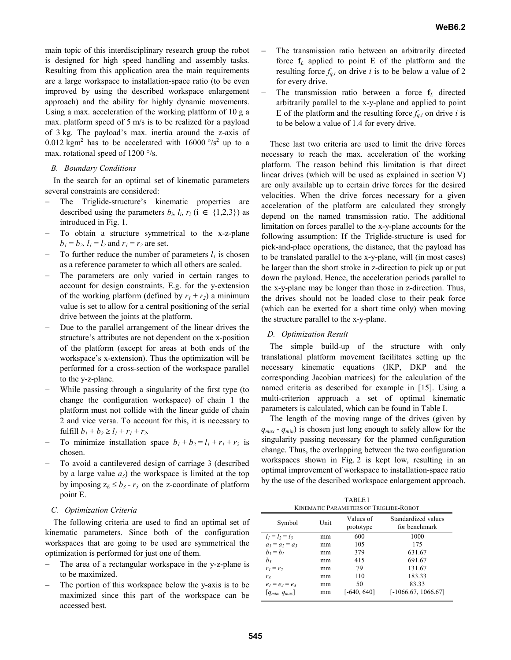main topic of this interdisciplinary research group the robot is designed for high speed handling and assembly tasks. Resulting from this application area the main requirements are a large workspace to installation-space ratio (to be even improved by using the described workspace enlargement approach) and the ability for highly dynamic movements. Using a max. acceleration of the working platform of 10 g a max. platform speed of 5 m/s is to be realized for a payload of 3 kg. The payload's max. inertia around the z-axis of 0.012 kgm<sup>2</sup> has to be accelerated with 16000  $\frac{\delta}{s^2}$  up to a max. rotational speed of 1200 °/s.

## *B. Boundary Conditions*

In the search for an optimal set of kinematic parameters several constraints are considered:

- The Triglide-structure's kinematic properties are described using the parameters  $b_i$ ,  $l_i$ ,  $r_i$  (i  $\in$  {1,2,3}) as introduced in Fig. 1.
- To obtain a structure symmetrical to the x-z-plane  $b_1 = b_2$ ,  $l_1 = l_2$  and  $r_1 = r_2$  are set.
- To further reduce the number of parameters  $l_1$  is chosen as a reference parameter to which all others are scaled.
- The parameters are only varied in certain ranges to account for design constraints. E.g. for the y-extension of the working platform (defined by  $r_1 + r_2$ ) a minimum value is set to allow for a central positioning of the serial drive between the joints at the platform.
- Due to the parallel arrangement of the linear drives the structure's attributes are not dependent on the x-position of the platform (except for areas at both ends of the workspace's x-extension). Thus the optimization will be performed for a cross-section of the workspace parallel to the y-z-plane.
- While passing through a singularity of the first type (to change the configuration workspace) of chain 1 the platform must not collide with the linear guide of chain 2 and vice versa. To account for this, it is necessary to fulfill  $b_1 + b_2 \ge l_1 + r_1 + r_2$ .
- To minimize installation space  $b_1 + b_2 = l_1 + r_1 + r_2$  is chosen.
- To avoid a cantilevered design of carriage 3 (described by a large value  $a_3$ ) the workspace is limited at the top by imposing  $z_E \leq b_3 - r_3$  on the z-coordinate of platform point E.

## *C. Optimization Criteria*

The following criteria are used to find an optimal set of kinematic parameters. Since both of the configuration workspaces that are going to be used are symmetrical the optimization is performed for just one of them.

- The area of a rectangular workspace in the y-z-plane is to be maximized.
- The portion of this workspace below the y-axis is to be maximized since this part of the workspace can be accessed best.
- The transmission ratio between an arbitrarily directed force  $f_L$  applied to point E of the platform and the resulting force  $f_{q,i}$  on drive *i* is to be below a value of 2 for every drive.
- − The transmission ratio between a force **f***L* directed arbitrarily parallel to the x-y-plane and applied to point E of the platform and the resulting force  $f_{q,i}$  on drive *i* is to be below a value of 1.4 for every drive.

These last two criteria are used to limit the drive forces necessary to reach the max. acceleration of the working platform. The reason behind this limitation is that direct linear drives (which will be used as explained in section V) are only available up to certain drive forces for the desired velocities. When the drive forces necessary for a given acceleration of the platform are calculated they strongly depend on the named transmission ratio. The additional limitation on forces parallel to the x-y-plane accounts for the following assumption: If the Triglide-structure is used for pick-and-place operations, the distance, that the payload has to be translated parallel to the x-y-plane, will (in most cases) be larger than the short stroke in z-direction to pick up or put down the payload. Hence, the acceleration periods parallel to the x-y-plane may be longer than those in z-direction. Thus, the drives should not be loaded close to their peak force (which can be exerted for a short time only) when moving the structure parallel to the x-y-plane.

# *D. Optimization Result*

The simple build-up of the structure with only translational platform movement facilitates setting up the necessary kinematic equations (IKP, DKP and the corresponding Jacobian matrices) for the calculation of the named criteria as described for example in [15]. Using a multi-criterion approach a set of optimal kinematic parameters is calculated, which can be found in Table I.

The length of the moving range of the drives (given by *qmax* - *qmin*) is chosen just long enough to safely allow for the singularity passing necessary for the planned configuration change. Thus, the overlapping between the two configuration workspaces shown in Fig. 2 is kept low, resulting in an optimal improvement of workspace to installation-space ratio by the use of the described workspace enlargement approach.

| <b>TABLEI</b>                                 |
|-----------------------------------------------|
| <b>KINEMATIC PARAMETERS OF TRIGLIDE-ROBOT</b> |

| KINGVIATIV LANAMETENS VE TNIVILIDE-INVISVI |      |                        |                                      |  |  |  |
|--------------------------------------------|------|------------------------|--------------------------------------|--|--|--|
| Symbol                                     | Unit | Values of<br>prototype | Standardized values<br>for benchmark |  |  |  |
| $l_1 = l_2 = l_3$                          | mm   | 600                    | 1000                                 |  |  |  |
| $a_1 = a_2 = a_3$                          | mm   | 105                    | 175                                  |  |  |  |
| $b_1 = b_2$                                | mm   | 379                    | 631.67                               |  |  |  |
| b,                                         | mm   | 415                    | 691.67                               |  |  |  |
| $r_1 = r_2$                                | mm   | 79                     | 131.67                               |  |  |  |
| r3                                         | mm   | 110                    | 183.33                               |  |  |  |
| $e_1 = e_2 = e_3$                          | mm   | 50                     | 83.33                                |  |  |  |
| $ q_{min}, q_{max} $                       | mm   | $[-640, 640]$          | $[-1066.67, 1066.67]$                |  |  |  |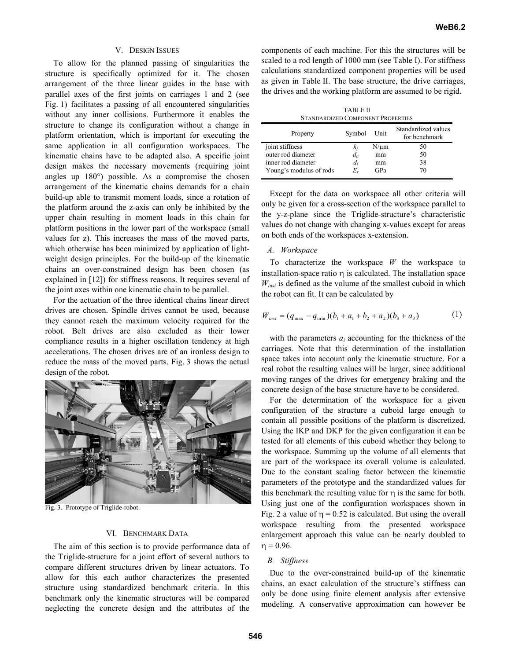### V. DESIGN ISSUES

To allow for the planned passing of singularities the structure is specifically optimized for it. The chosen arrangement of the three linear guides in the base with parallel axes of the first joints on carriages 1 and 2 (see Fig. 1) facilitates a passing of all encountered singularities without any inner collisions. Furthermore it enables the structure to change its configuration without a change in platform orientation, which is important for executing the same application in all configuration workspaces. The kinematic chains have to be adapted also. A specific joint design makes the necessary movements (requiring joint angles up 180°) possible. As a compromise the chosen arrangement of the kinematic chains demands for a chain build-up able to transmit moment loads, since a rotation of the platform around the z-axis can only be inhibited by the upper chain resulting in moment loads in this chain for platform positions in the lower part of the workspace (small values for z). This increases the mass of the moved parts, which otherwise has been minimized by application of lightweight design principles. For the build-up of the kinematic chains an over-constrained design has been chosen (as explained in [12]) for stiffness reasons. It requires several of the joint axes within one kinematic chain to be parallel.

For the actuation of the three identical chains linear direct drives are chosen. Spindle drives cannot be used, because they cannot reach the maximum velocity required for the robot. Belt drives are also excluded as their lower compliance results in a higher oscillation tendency at high accelerations. The chosen drives are of an ironless design to reduce the mass of the moved parts. Fig. 3 shows the actual design of the robot.



Fig. 3. Prototype of Triglide-robot.

## VI. BENCHMARK DATA

The aim of this section is to provide performance data of the Triglide-structure for a joint effort of several authors to compare different structures driven by linear actuators. To allow for this each author characterizes the presented structure using standardized benchmark criteria. In this benchmark only the kinematic structures will be compared neglecting the concrete design and the attributes of the components of each machine. For this the structures will be scaled to a rod length of 1000 mm (see Table I). For stiffness calculations standardized component properties will be used as given in Table II. The base structure, the drive carriages, the drives and the working platform are assumed to be rigid.

TABLE II STANDARDIZED COMPONENT PROPERTIES

| Property                | Symbol | Unit | Standardized values<br>for benchmark |  |  |  |
|-------------------------|--------|------|--------------------------------------|--|--|--|
| joint stiffness         | k,     | N/um | 50                                   |  |  |  |
| outer rod diameter      | $d_a$  | mm   | 50                                   |  |  |  |
| inner rod diameter      | $d_i$  | mm   | 38                                   |  |  |  |
| Young's modulus of rods | Er     | GPa  | 70                                   |  |  |  |

Except for the data on workspace all other criteria will only be given for a cross-section of the workspace parallel to the y-z-plane since the Triglide-structure's characteristic values do not change with changing x-values except for areas on both ends of the workspaces x-extension.

#### *A. Workspace*

To characterize the workspace *W* the workspace to installation-space ratio  $\eta$  is calculated. The installation space  $W_{inst}$  is defined as the volume of the smallest cuboid in which the robot can fit. It can be calculated by

$$
W_{inst} = (q_{max} - q_{min})(b_1 + a_1 + b_2 + a_2)(b_3 + a_3)
$$
 (1)

with the parameters  $a_i$  accounting for the thickness of the carriages. Note that this determination of the installation space takes into account only the kinematic structure. For a real robot the resulting values will be larger, since additional moving ranges of the drives for emergency braking and the concrete design of the base structure have to be considered.

For the determination of the workspace for a given configuration of the structure a cuboid large enough to contain all possible positions of the platform is discretized. Using the IKP and DKP for the given configuration it can be tested for all elements of this cuboid whether they belong to the workspace. Summing up the volume of all elements that are part of the workspace its overall volume is calculated. Due to the constant scaling factor between the kinematic parameters of the prototype and the standardized values for this benchmark the resulting value for η is the same for both. Using just one of the configuration workspaces shown in Fig. 2 a value of  $\eta = 0.52$  is calculated. But using the overall workspace resulting from the presented workspace enlargement approach this value can be nearly doubled to  $n = 0.96$ .

#### *B. Stiffness*

Due to the over-constrained build-up of the kinematic chains, an exact calculation of the structure's stiffness can only be done using finite element analysis after extensive modeling. A conservative approximation can however be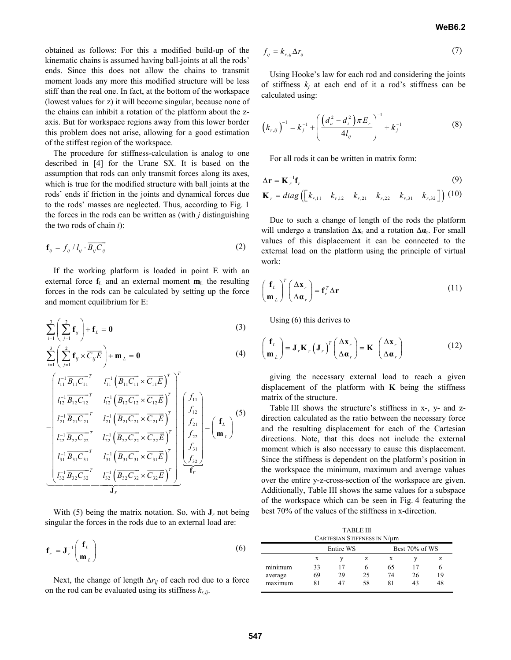obtained as follows: For this a modified build-up of the kinematic chains is assumed having ball-joints at all the rods' ends. Since this does not allow the chains to transmit moment loads any more this modified structure will be less stiff than the real one. In fact, at the bottom of the workspace (lowest values for z) it will become singular, because none of the chains can inhibit a rotation of the platform about the zaxis. But for workspace regions away from this lower border this problem does not arise, allowing for a good estimation of the stiffest region of the workspace.

The procedure for stiffness-calculation is analog to one described in [4] for the Urane SX. It is based on the assumption that rods can only transmit forces along its axes, which is true for the modified structure with ball joints at the rods' ends if friction in the joints and dynamical forces due to the rods' masses are neglected. Thus, according to Fig. 1 the forces in the rods can be written as (with *j* distinguishing the two rods of chain *i*):

$$
\mathbf{f}_{ij} = f_{ij} / l_{ij} \cdot \overrightarrow{B_{ij} C_{ij}}
$$
 (2)

If the working platform is loaded in point E with an external force  $f<sub>L</sub>$  and an external moment  $m<sub>L</sub>$  the resulting forces in the rods can be calculated by setting up the force and moment equilibrium for E:

$$
\sum_{i=1}^{3} \left( \sum_{j=1}^{2} \mathbf{f}_{ij} \right) + \mathbf{f}_{L} = \mathbf{0}
$$
 (3)

$$
\sum_{i=1}^{3} \left( \sum_{j=1}^{2} \mathbf{f}_{ij} \times \overline{C_{ij}E} \right) + \mathbf{m}_{L} = \mathbf{0}
$$
 (4)

$$
\begin{bmatrix}\nI_{11}^{-1} \overline{B_{11} C_{11}}^T & I_{11}^{-1} \left( \overline{B_{11} C_{11}} \times \overline{C_{11} E} \right)^T \\
I_{12}^{-1} \overline{B_{12} C_{12}}^T & I_{12}^{-1} \left( \overline{B_{12} C_{12}} \times \overline{C_{12} E} \right)^T \\
I_{21}^{-1} \overline{B_{21} C_{21}}^T & I_{21}^{-1} \left( \overline{B_{21} C_{21}} \times \overline{C_{21} E} \right)^T \\
I_{22}^{-1} \overline{B_{22} C_{22}}^T & I_{22}^{-1} \left( \overline{B_{22} C_{22}} \times \overline{C_{22} E} \right)^T \\
I_{31}^{-1} \overline{B_{31} C_{31}}^T & I_{31}^{-1} \left( \overline{B_{31} C_{31}} \times \overline{C_{31} E} \right)^T \\
I_{32}^{-1} \overline{B_{32} C_{32}}^T & I_{31}^{-1} \left( \overline{B_{31} C_{31}} \times \overline{C_{31} E} \right)^T \\
I_{32}^{-1} \overline{B_{32} C_{32}}^T & I_{32}^{-1} \left( \overline{B_{32} C_{32}} \times \overline{C_{32} E} \right)^T\n\end{bmatrix} \begin{bmatrix}\nf_{11} \\
f_{22} \\
f_{32} \\
f_{33}\n\end{bmatrix} = \begin{bmatrix}\n\mathbf{f}_L \\
\mathbf{m}_L\n\end{bmatrix} (5)
$$

With (5) being the matrix notation. So, with  $J_r$  not being singular the forces in the rods due to an external load are:

$$
\mathbf{f}_r = \mathbf{J}_r^{-1} \begin{pmatrix} \mathbf{f}_L \\ \mathbf{m}_L \end{pmatrix} \tag{6}
$$

Next, the change of length ∆*rij* of each rod due to a force on the rod can be evaluated using its stiffness  $k_{r,ij}$ .

$$
f_{ij} = k_{r,ij} \Delta r_{ij} \tag{7}
$$

Using Hooke's law for each rod and considering the joints of stiffness  $k_i$  at each end of it a rod's stiffness can be calculated using:

$$
\left(k_{r,ij}\right)^{-1} = k_j^{-1} + \left(\frac{\left(d_a^2 - d_i^2\right)\pi E_r}{4l_{ij}}\right)^{-1} + k_j^{-1} \tag{8}
$$

For all rods it can be written in matrix form:

$$
\Delta \mathbf{r} = \mathbf{K}_r^{-1} \mathbf{f}_r \tag{9}
$$

$$
\mathbf{K}_r = diag\left(\begin{bmatrix} k_{r,11} & k_{r,12} & k_{r,21} & k_{r,22} & k_{r,31} & k_{r,32} \end{bmatrix}\right) (10)
$$

Due to such a change of length of the rods the platform will undergo a translation ∆**x**r and a rotation ∆**α**r. For small values of this displacement it can be connected to the external load on the platform using the principle of virtual work:

$$
\begin{pmatrix} \mathbf{f}_L \\ \mathbf{m}_L \end{pmatrix}^T \begin{pmatrix} \Delta \mathbf{x}_r \\ \Delta \mathbf{a}_r \end{pmatrix} = \mathbf{f}_r^T \Delta \mathbf{r}
$$
 (11)

Using (6) this derives to

$$
\begin{pmatrix} \mathbf{f}_L \\ \mathbf{m}_L \end{pmatrix} = \mathbf{J}_r \mathbf{K}_r \left( \mathbf{J}_r \right)^T \begin{pmatrix} \Delta \mathbf{x}_r \\ \Delta \mathbf{a}_r \end{pmatrix} = \mathbf{K} \begin{pmatrix} \Delta \mathbf{x}_r \\ \Delta \mathbf{a}_r \end{pmatrix}
$$
(12)

giving the necessary external load to reach a given displacement of the platform with **K** being the stiffness matrix of the structure.

Table III shows the structure's stiffness in x-, y- and zdirection calculated as the ratio between the necessary force and the resulting displacement for each of the Cartesian directions. Note, that this does not include the external moment which is also necessary to cause this displacement. Since the stiffness is dependent on the platform's position in the workspace the minimum, maximum and average values over the entire y-z-cross-section of the workspace are given. Additionally, Table III shows the same values for a subspace of the workspace which can be seen in Fig. 4 featuring the best 70% of the values of the stiffness in x-direction.

| <b>TABLE III</b><br>CARTESIAN STIFFNESS IN N/um |                |                  |               |                |          |               |
|-------------------------------------------------|----------------|------------------|---------------|----------------|----------|---------------|
|                                                 |                | <b>Entire WS</b> |               | Best 70% of WS |          |               |
|                                                 | X              |                  | Z             | X              |          | z             |
| minimum<br>average<br>maximum                   | 33<br>69<br>81 | 29<br>47         | 6<br>25<br>58 | 65<br>74<br>81 | 26<br>43 | b<br>19<br>48 |